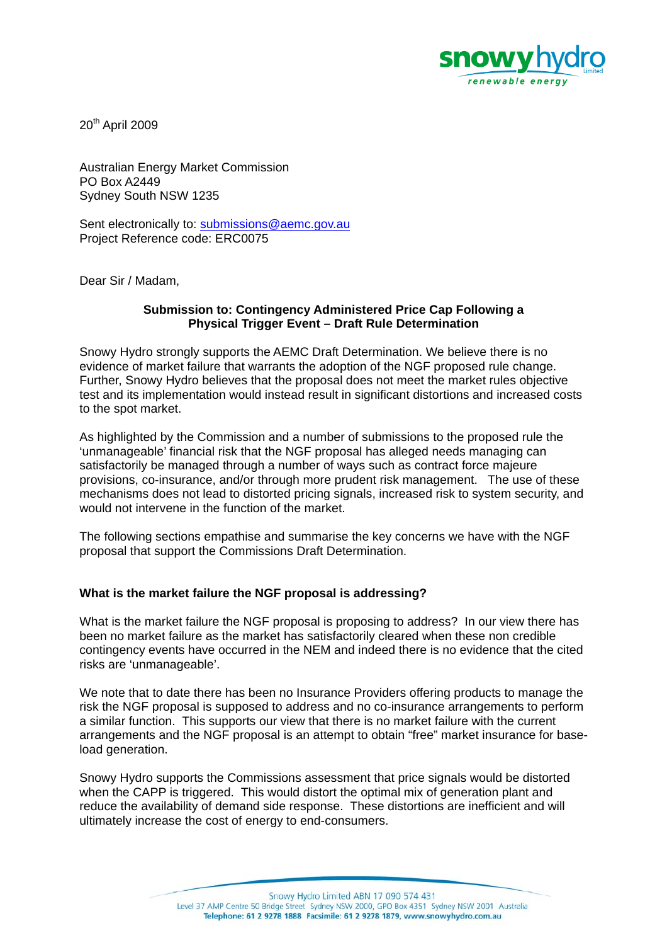

20th April 2009

Australian Energy Market Commission PO Box A2449 Sydney South NSW 1235

Sent electronically to: submissions@aemc.gov.au Project Reference code: ERC0075

Dear Sir / Madam,

## **Submission to: Contingency Administered Price Cap Following a Physical Trigger Event – Draft Rule Determination**

Snowy Hydro strongly supports the AEMC Draft Determination. We believe there is no evidence of market failure that warrants the adoption of the NGF proposed rule change. Further, Snowy Hydro believes that the proposal does not meet the market rules objective test and its implementation would instead result in significant distortions and increased costs to the spot market.

As highlighted by the Commission and a number of submissions to the proposed rule the 'unmanageable' financial risk that the NGF proposal has alleged needs managing can satisfactorily be managed through a number of ways such as contract force majeure provisions, co-insurance, and/or through more prudent risk management. The use of these mechanisms does not lead to distorted pricing signals, increased risk to system security, and would not intervene in the function of the market.

The following sections empathise and summarise the key concerns we have with the NGF proposal that support the Commissions Draft Determination.

## **What is the market failure the NGF proposal is addressing?**

What is the market failure the NGF proposal is proposing to address? In our view there has been no market failure as the market has satisfactorily cleared when these non credible contingency events have occurred in the NEM and indeed there is no evidence that the cited risks are 'unmanageable'.

We note that to date there has been no Insurance Providers offering products to manage the risk the NGF proposal is supposed to address and no co-insurance arrangements to perform a similar function. This supports our view that there is no market failure with the current arrangements and the NGF proposal is an attempt to obtain "free" market insurance for baseload generation.

Snowy Hydro supports the Commissions assessment that price signals would be distorted when the CAPP is triggered. This would distort the optimal mix of generation plant and reduce the availability of demand side response. These distortions are inefficient and will ultimately increase the cost of energy to end-consumers.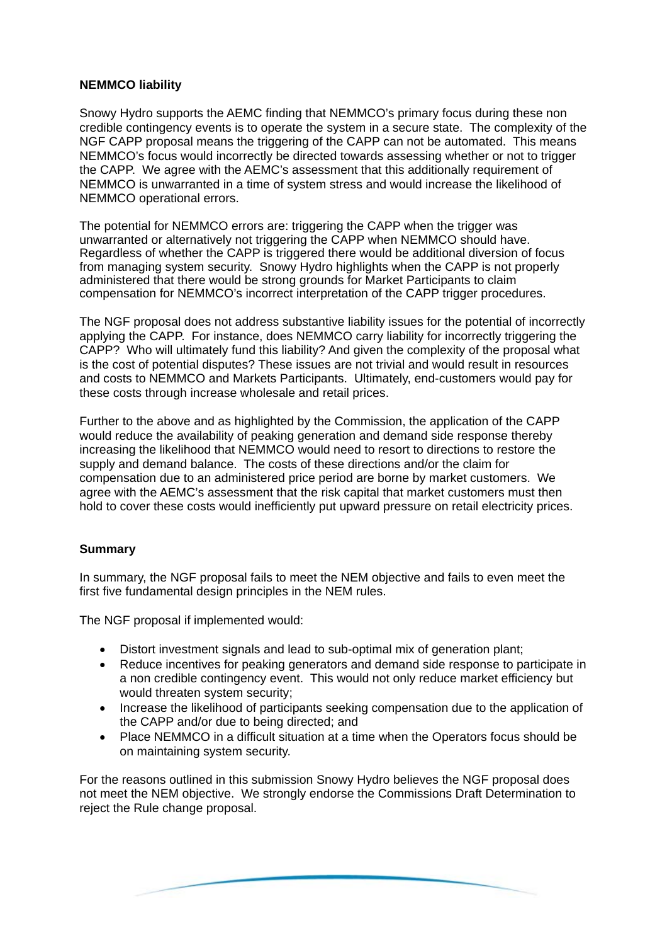## **NEMMCO liability**

Snowy Hydro supports the AEMC finding that NEMMCO's primary focus during these non credible contingency events is to operate the system in a secure state. The complexity of the NGF CAPP proposal means the triggering of the CAPP can not be automated. This means NEMMCO's focus would incorrectly be directed towards assessing whether or not to trigger the CAPP. We agree with the AEMC's assessment that this additionally requirement of NEMMCO is unwarranted in a time of system stress and would increase the likelihood of NEMMCO operational errors.

The potential for NEMMCO errors are: triggering the CAPP when the trigger was unwarranted or alternatively not triggering the CAPP when NEMMCO should have. Regardless of whether the CAPP is triggered there would be additional diversion of focus from managing system security. Snowy Hydro highlights when the CAPP is not properly administered that there would be strong grounds for Market Participants to claim compensation for NEMMCO's incorrect interpretation of the CAPP trigger procedures.

The NGF proposal does not address substantive liability issues for the potential of incorrectly applying the CAPP. For instance, does NEMMCO carry liability for incorrectly triggering the CAPP? Who will ultimately fund this liability? And given the complexity of the proposal what is the cost of potential disputes? These issues are not trivial and would result in resources and costs to NEMMCO and Markets Participants. Ultimately, end-customers would pay for these costs through increase wholesale and retail prices.

Further to the above and as highlighted by the Commission, the application of the CAPP would reduce the availability of peaking generation and demand side response thereby increasing the likelihood that NEMMCO would need to resort to directions to restore the supply and demand balance. The costs of these directions and/or the claim for compensation due to an administered price period are borne by market customers. We agree with the AEMC's assessment that the risk capital that market customers must then hold to cover these costs would inefficiently put upward pressure on retail electricity prices.

## **Summary**

In summary, the NGF proposal fails to meet the NEM objective and fails to even meet the first five fundamental design principles in the NEM rules.

The NGF proposal if implemented would:

- Distort investment signals and lead to sub-optimal mix of generation plant;
- Reduce incentives for peaking generators and demand side response to participate in a non credible contingency event. This would not only reduce market efficiency but would threaten system security;
- Increase the likelihood of participants seeking compensation due to the application of the CAPP and/or due to being directed; and
- Place NEMMCO in a difficult situation at a time when the Operators focus should be on maintaining system security.

For the reasons outlined in this submission Snowy Hydro believes the NGF proposal does not meet the NEM objective. We strongly endorse the Commissions Draft Determination to reject the Rule change proposal.